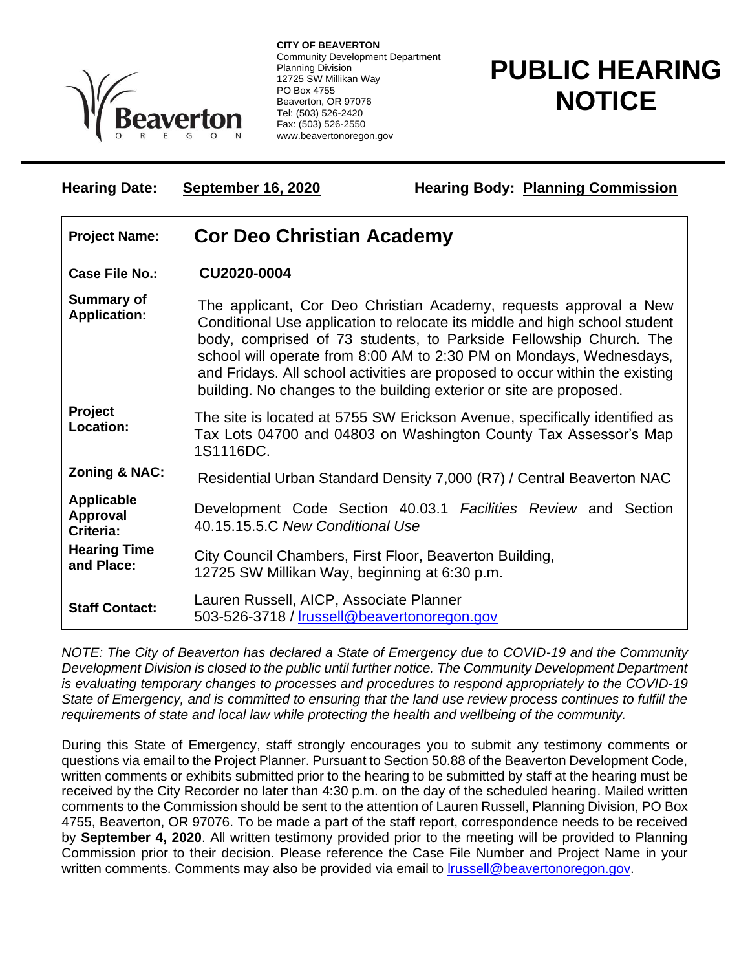

**CITY OF BEAVERTON** Community Development Department Planning Division 12725 SW Millikan Way PO Box 4755 Beaverton, OR 97076 Tel: (503) 526-2420 Fax: (503) 526-2550 www.beavertonoregon.gov

## **PUBLIC HEARING NOTICE**

| <b>Hearing Date:</b>                       | <b>September 16, 2020</b>                                                                                                                                                                                                                                                                                                                                                                                                                           | <b>Hearing Body: Planning Commission</b>                       |
|--------------------------------------------|-----------------------------------------------------------------------------------------------------------------------------------------------------------------------------------------------------------------------------------------------------------------------------------------------------------------------------------------------------------------------------------------------------------------------------------------------------|----------------------------------------------------------------|
| <b>Project Name:</b>                       | <b>Cor Deo Christian Academy</b>                                                                                                                                                                                                                                                                                                                                                                                                                    |                                                                |
| <b>Case File No.:</b>                      | CU2020-0004                                                                                                                                                                                                                                                                                                                                                                                                                                         |                                                                |
| <b>Summary of</b><br><b>Application:</b>   | The applicant, Cor Deo Christian Academy, requests approval a New<br>Conditional Use application to relocate its middle and high school student<br>body, comprised of 73 students, to Parkside Fellowship Church. The<br>school will operate from 8:00 AM to 2:30 PM on Mondays, Wednesdays,<br>and Fridays. All school activities are proposed to occur within the existing<br>building. No changes to the building exterior or site are proposed. |                                                                |
| <b>Project</b><br>Location:                | The site is located at 5755 SW Erickson Avenue, specifically identified as<br>Tax Lots 04700 and 04803 on Washington County Tax Assessor's Map<br>1S1116DC.                                                                                                                                                                                                                                                                                         |                                                                |
| <b>Zoning &amp; NAC:</b>                   | Residential Urban Standard Density 7,000 (R7) / Central Beaverton NAC                                                                                                                                                                                                                                                                                                                                                                               |                                                                |
| <b>Applicable</b><br>Approval<br>Criteria: | 40.15.15.5.C New Conditional Use                                                                                                                                                                                                                                                                                                                                                                                                                    | Development Code Section 40.03.1 Facilities Review and Section |
| <b>Hearing Time</b><br>and Place:          | City Council Chambers, First Floor, Beaverton Building,<br>12725 SW Millikan Way, beginning at 6:30 p.m.                                                                                                                                                                                                                                                                                                                                            |                                                                |
| <b>Staff Contact:</b>                      | Lauren Russell, AICP, Associate Planner<br>503-526-3718 / Irussell@beavertonoregon.gov                                                                                                                                                                                                                                                                                                                                                              |                                                                |

*NOTE: The City of Beaverton has declared a State of Emergency due to COVID-19 and the Community Development Division is closed to the public until further notice. The Community Development Department is evaluating temporary changes to processes and procedures to respond appropriately to the COVID-19 State of Emergency, and is committed to ensuring that the land use review process continues to fulfill the requirements of state and local law while protecting the health and wellbeing of the community.*

During this State of Emergency, staff strongly encourages you to submit any testimony comments or questions via email to the Project Planner. Pursuant to Section 50.88 of the Beaverton Development Code, written comments or exhibits submitted prior to the hearing to be submitted by staff at the hearing must be received by the City Recorder no later than 4:30 p.m. on the day of the scheduled hearing. Mailed written comments to the Commission should be sent to the attention of Lauren Russell, Planning Division, PO Box 4755, Beaverton, OR 97076. To be made a part of the staff report, correspondence needs to be received by **September 4, 2020**. All written testimony provided prior to the meeting will be provided to Planning Commission prior to their decision. Please reference the Case File Number and Project Name in your written comments. Comments may also be provided via email to **Irussell@beavertonoregon.gov**.